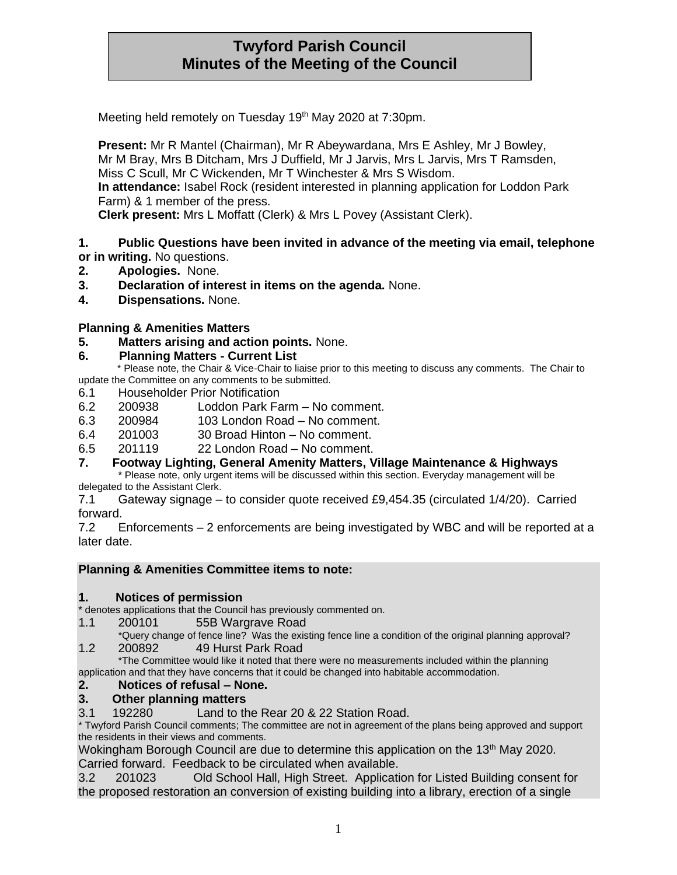# **Twyford Parish Council Minutes of the Meeting of the Council**

Meeting held remotely on Tuesday 19<sup>th</sup> May 2020 at 7:30pm.

**Present:** Mr R Mantel (Chairman), Mr R Abeywardana, Mrs E Ashley, Mr J Bowley, Mr M Bray, Mrs B Ditcham, Mrs J Duffield, Mr J Jarvis, Mrs L Jarvis, Mrs T Ramsden, Miss C Scull, Mr C Wickenden, Mr T Winchester & Mrs S Wisdom. **In attendance:** Isabel Rock (resident interested in planning application for Loddon Park Farm) & 1 member of the press.

**Clerk present:** Mrs L Moffatt (Clerk) & Mrs L Povey (Assistant Clerk).

### **1. Public Questions have been invited in advance of the meeting via email, telephone or in writing.** No questions.

- **2. Apologies.** None.
- **3. Declaration of interest in items on the agenda.** None.
- **4. Dispensations.** None.

### **Planning & Amenities Matters**

**5. Matters arising and action points.** None.

### **6. Planning Matters - Current List**

 \* Please note, the Chair & Vice-Chair to liaise prior to this meeting to discuss any comments. The Chair to update the Committee on any comments to be submitted.

- 6.1 Householder Prior Notification
- 6.2 200938 Loddon Park Farm No comment.
- 6.3 200984 103 London Road No comment.
- 6.4 201003 30 Broad Hinton No comment.
- 6.5 201119 22 London Road No comment.
- **7. Footway Lighting, General Amenity Matters, Village Maintenance & Highways**

\* Please note, only urgent items will be discussed within this section. Everyday management will be delegated to the Assistant Clerk.

7.1 Gateway signage – to consider quote received £9,454.35 (circulated 1/4/20). Carried forward.

7.2 Enforcements – 2 enforcements are being investigated by WBC and will be reported at a later date.

### **Planning & Amenities Committee items to note:**

### **1. Notices of permission**

\* denotes applications that the Council has previously commented on.

- 1.1 200101 55B Wargrave Road
- \*Query change of fence line? Was the existing fence line a condition of the original planning approval? 1.2 200892 49 Hurst Park Road

\*The Committee would like it noted that there were no measurements included within the planning application and that they have concerns that it could be changed into habitable accommodation.

### **2. Notices of refusal – None.**

### **3. Other planning matters**

3.1 192280 Land to the Rear 20 & 22 Station Road.

\* Twyford Parish Council comments; The committee are not in agreement of the plans being approved and support the residents in their views and comments.

Wokingham Borough Council are due to determine this application on the 13<sup>th</sup> May 2020. Carried forward. Feedback to be circulated when available.

3.2 201023 Old School Hall, High Street. Application for Listed Building consent for the proposed restoration an conversion of existing building into a library, erection of a single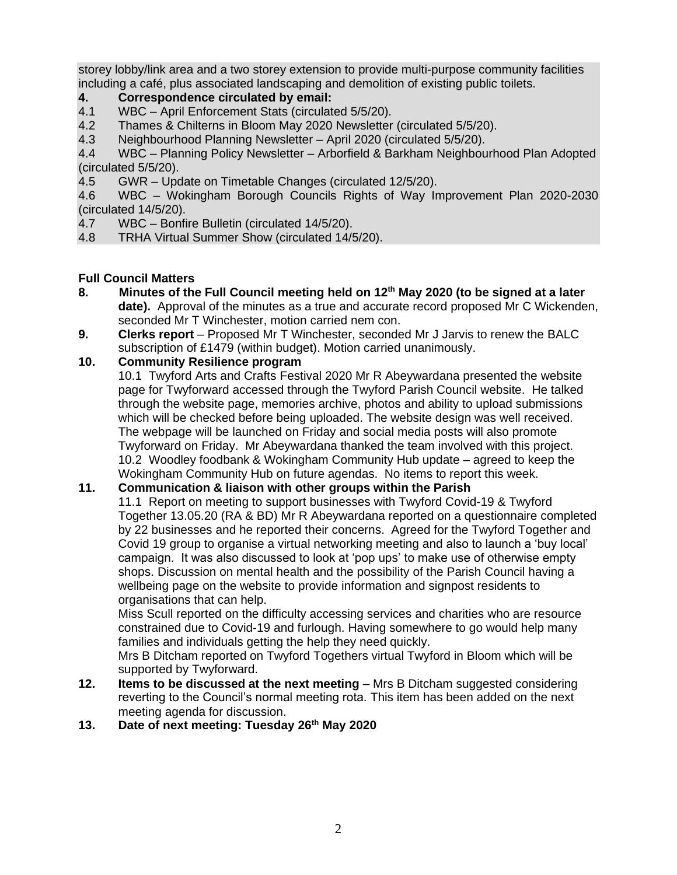storey lobby/link area and a two storey extension to provide multi-purpose community facilities including a café, plus associated landscaping and demolition of existing public toilets.

## **4. Correspondence circulated by email:**

- 4.1 WBC April Enforcement Stats (circulated 5/5/20).
- 4.2 Thames & Chilterns in Bloom May 2020 Newsletter (circulated 5/5/20).
- 4.3 Neighbourhood Planning Newsletter April 2020 (circulated 5/5/20).

4.4 WBC – Planning Policy Newsletter – Arborfield & Barkham Neighbourhood Plan Adopted (circulated 5/5/20).

4.5 GWR – Update on Timetable Changes (circulated 12/5/20).

4.6 WBC – Wokingham Borough Councils Rights of Way Improvement Plan 2020-2030 (circulated 14/5/20).

- 4.7 WBC Bonfire Bulletin (circulated 14/5/20).
- 4.8 TRHA Virtual Summer Show (circulated 14/5/20).

### **Full Council Matters**

- **8. Minutes of the Full Council meeting held on 12th May 2020 (to be signed at a later date).** Approval of the minutes as a true and accurate record proposed Mr C Wickenden, seconded Mr T Winchester, motion carried nem con.
- **9. Clerks report** Proposed Mr T Winchester, seconded Mr J Jarvis to renew the BALC subscription of £1479 (within budget). Motion carried unanimously.

### **10. Community Resilience program**

10.1 Twyford Arts and Crafts Festival 2020 Mr R Abeywardana presented the website page for Twyforward accessed through the Twyford Parish Council website. He talked through the website page, memories archive, photos and ability to upload submissions which will be checked before being uploaded. The website design was well received. The webpage will be launched on Friday and social media posts will also promote Twyforward on Friday. Mr Abeywardana thanked the team involved with this project. 10.2 Woodley foodbank & Wokingham Community Hub update – agreed to keep the Wokingham Community Hub on future agendas. No items to report this week.

### **11. Communication & liaison with other groups within the Parish**

11.1 Report on meeting to support businesses with Twyford Covid-19 & Twyford Together 13.05.20 (RA & BD) Mr R Abeywardana reported on a questionnaire completed by 22 businesses and he reported their concerns. Agreed for the Twyford Together and Covid 19 group to organise a virtual networking meeting and also to launch a 'buy local' campaign. It was also discussed to look at 'pop ups' to make use of otherwise empty shops. Discussion on mental health and the possibility of the Parish Council having a wellbeing page on the website to provide information and signpost residents to organisations that can help.

Miss Scull reported on the difficulty accessing services and charities who are resource constrained due to Covid-19 and furlough. Having somewhere to go would help many families and individuals getting the help they need quickly.

Mrs B Ditcham reported on Twyford Togethers virtual Twyford in Bloom which will be supported by Twyforward.

- **12. Items to be discussed at the next meeting** Mrs B Ditcham suggested considering reverting to the Council's normal meeting rota. This item has been added on the next meeting agenda for discussion.
- **13. Date of next meeting: Tuesday 26th May 2020**